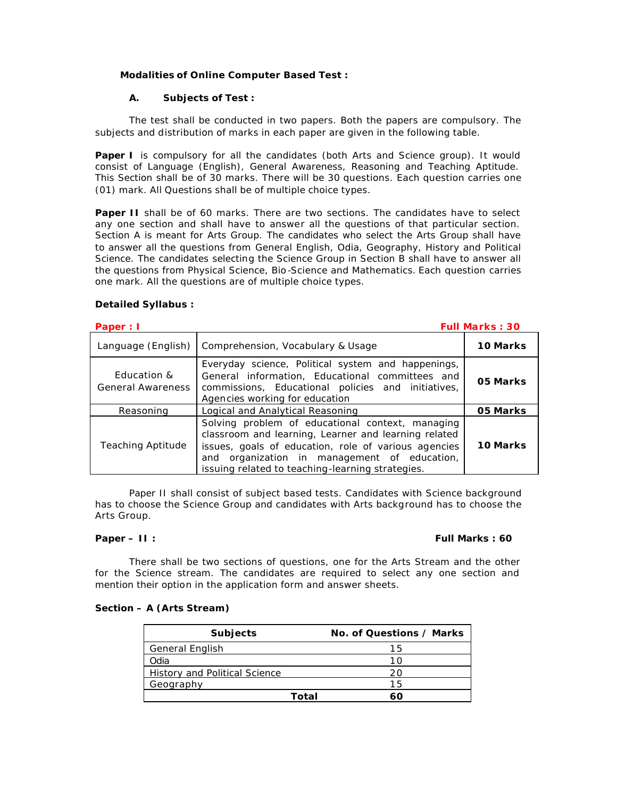# **Modalities of Online Computer Based Test :**

# **A. Subjects of Test :**

The test shall be conducted in two papers. Both the papers are compulsory. The subjects and distribution of marks in each paper are given in the following table.

**Paper I** is compulsory for all the candidates (both Arts and Science group). It would consist of Language (English), General Awareness, Reasoning and Teaching Aptitude. This Section shall be of 30 marks. There will be 30 questions. Each question carries one (01) mark. All Questions shall be of multiple choice types.

**Paper II** shall be of 60 marks. There are two sections. The candidates have to select any one section and shall have to answer all the questions of that particular section. Section A is meant for Arts Group. The candidates who select the Arts Group shall have to answer all the questions from General English, Odia, Geography, History and Political Science. The candidates selecting the Science Group in Section B shall have to answer all the questions from Physical Science, Bio -Science and Mathematics. Each question carries one mark. All the questions are of multiple choice types.

# **Detailed Syllabus :**

| Paper: I                                |                                                                                                                                                                                                                                                                      | <b>Full Marks: 30</b> |
|-----------------------------------------|----------------------------------------------------------------------------------------------------------------------------------------------------------------------------------------------------------------------------------------------------------------------|-----------------------|
| Language (English)                      | Comprehension, Vocabulary & Usage                                                                                                                                                                                                                                    | 10 Marks              |
| Education &<br><b>General Awareness</b> | Everyday science, Political system and happenings,<br>General information, Educational committees and<br>commissions, Educational policies and initiatives,<br>Agencies working for education                                                                        | 05 Marks              |
| Reasoning                               | Logical and Analytical Reasoning                                                                                                                                                                                                                                     | 05 Marks              |
| <b>Teaching Aptitude</b>                | Solving problem of educational context, managing<br>classroom and learning, Learner and learning related<br>issues, goals of education, role of various agencies<br>and organization in management of education,<br>issuing related to teaching-learning strategies. | 10 Marks              |

Paper II shall consist of subject based tests. Candidates with Science background has to choose the Science Group and candidates with Arts background has to choose the Arts Group.

# **Paper – II :** *Full Marks : 60*

There shall be two sections of questions, one for the Arts Stream and the other for the Science stream. The candidates are required to select any one section and mention their option in the application form and answer sheets.

#### **Section – A (Arts Stream)**

| <b>Subjects</b>                      |       | No. of Questions / Marks |
|--------------------------------------|-------|--------------------------|
| <b>General English</b>               |       | 15                       |
| Odia                                 |       | 1 ∩                      |
| <b>History and Political Science</b> |       | 20                       |
| Geography                            |       | 15                       |
|                                      | Total |                          |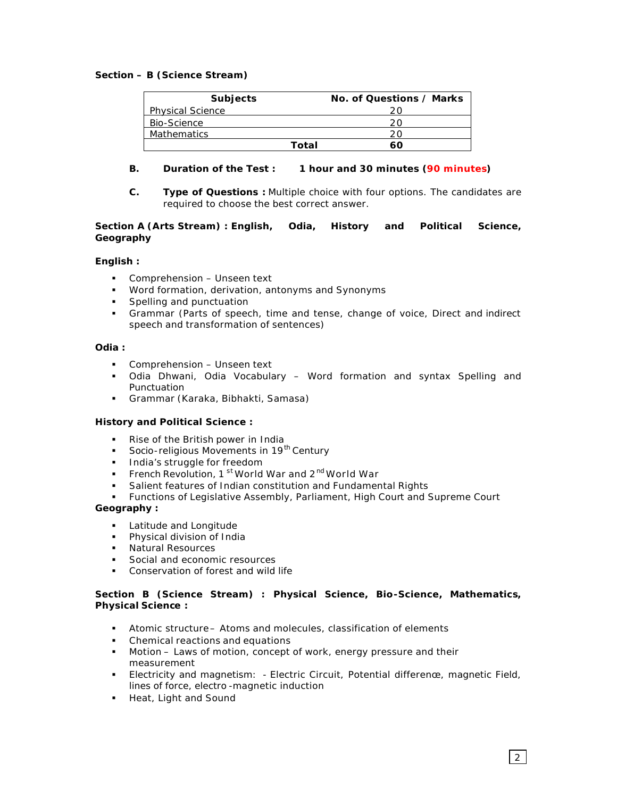# **Section – B (Science Stream)**

| <b>Subjects</b>         | No. of Questions / Marks |
|-------------------------|--------------------------|
| <b>Physical Science</b> |                          |
| Bio-Science             |                          |
| <b>Mathematics</b>      |                          |
| Total                   |                          |

# **B. Duration of the Test : 1 hour and 30 minutes (90 minutes)**

**C. Type of Questions :** Multiple choice with four options. The candidates are required to choose the best correct answer.

# **Section A (Arts Stream) : English, Odia, History and Political Science, Geography**

# **English :**

- **Comprehension Unseen text**
- **Word formation, derivation, antonyms and Synonyms**
- **Spelling and punctuation**
- ß Grammar (Parts of speech, time and tense, change of voice, Direct and indirect speech and transformation of sentences)

# **Odia :**

- **Comprehension Unseen text**
- **•** Odia Dhwani, Odia Vocabulary Word formation and syntax Spelling and Punctuation
- ß Grammar (Karaka, Bibhakti, Samasa)

# **History and Political Science :**

- ß Rise of the British power in India
- Socio-religious Movements in 19<sup>th</sup> Century
- **India's struggle for freedom**
- French Revolution, 1<sup>st</sup> World War and 2<sup>nd</sup> World War
- ß Salient features of Indian constitution and Fundamental Rights
- ß Functions of Legislative Assembly, Parliament, High Court and Supreme Court

# **Geography :**

- **Example 2 Latitude and Longitude**
- **•** Physical division of India
- ß Natural Resources
- Social and economic resources
- **•** Conservation of forest and wild life

# **Section B (Science Stream) : Physical Science, Bio-Science, Mathematics, Physical Science :**

- **Atomic structure Atoms and molecules, classification of elements**
- Chemical reactions and equations
- **Motion Laws of motion, concept of work, energy pressure and their** measurement
- **Electricity and magnetism: Electric Circuit, Potential difference, magnetic Field,** lines of force, electro -magnetic induction
- **Heat, Light and Sound**